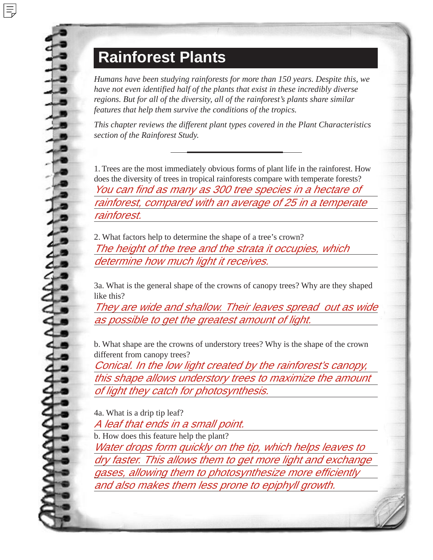## **Rainforest Plants**

*Humans have been studying rainforests for more than 150 years. Despite this, we have not even identified half of the plants that exist in these incredibly diverse regions. But for all of the diversity, all of the rainforest's plants share similar features that help them survive the conditions of the tropics.*

*This chapter reviews the different plant types covered in the Plant Characteristics section of the Rainforest Study.*

1. Trees are the most immediately obvious forms of plant life in the rainforest. How does the diversity of trees in tropical rainforests compare with temperate forests? You can find as many as 300 tree species in a hectare of rainforest, compared with an average of 25 in a temperate rainforest.

2. What factors help to determine the shape of a tree's crown? The height of the tree and the strata it occupies, which determine how much light it receives.

3a. What is the general shape of the crowns of canopy trees? Why are they shaped like this?

They are wide and shallow. Their leaves spread out as wide as possible to get the greatest amount of light.

b. What shape are the crowns of understory trees? Why is the shape of the crown different from canopy trees?

Conical. In the low light created by the rainforest's canopy, this shape allows understory trees to maximize the amount of light they catch for photosynthesis.

4a. What is a drip tip leaf?

A leaf that ends in a small point. b. How does this feature help the plant? Water drops form quickly on the tip, which helps leaves to dry faster. This allows them to get more light and exchange gases, allowing them to photosynthesize more efficiently and also makes them less prone to epiphyll growth.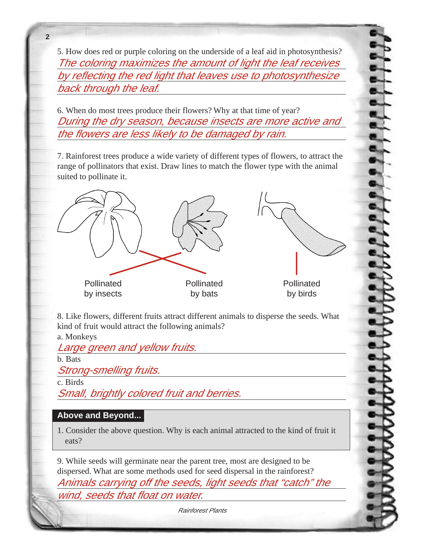5. How does red or purple coloring on the underside of a leaf aid in photosynthesis? The coloring maximizes the amount of light the leaf receives by reflecting the red light that leaves use to photosynthesize back through the leaf.

6. When do most trees produce their flowers? Why at that time of year? During the dry season, because insects are more active and the flowers are less likely to be damaged by rain.

7. Rainforest trees produce a wide variety of different types of flowers, to attract the range of pollinators that exist. Draw lines to match the flower type with the animal suited to pollinate it.



8. Like flowers, different fruits attract different animals to disperse the seeds. What kind of fruit would attract the following animals? a. Monkeys

Large green and yellow fruits.

b. Bats

**2**

Strong-smelling fruits.

c. Birds

Small, brightly colored fruit and berries.

## **Above and Beyond...**

1. Consider the above question. Why is each animal attracted to the kind of fruit it eats?

9. While seeds will germinate near the parent tree, most are designed to be dispersed. What are some methods used for seed dispersal in the rainforest? Animals carrying off the seeds, light seeds that "catch" the wind, seeds that float on water.

Rainforest Plants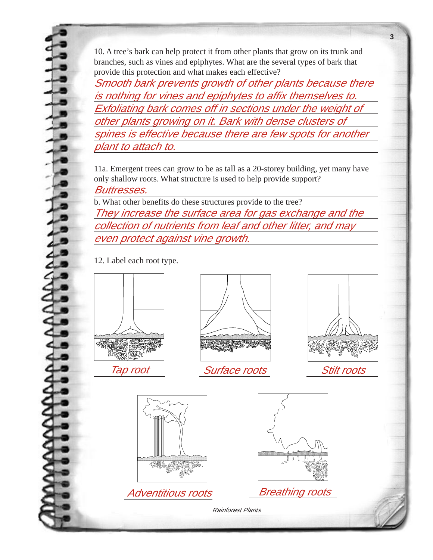10. A tree's bark can help protect it from other plants that grow on its trunk and branches, such as vines and epiphytes. What are the several types of bark that provide this protection and what makes each effective?

Smooth bark prevents growth of other plants because there is nothing for vines and epiphytes to affix themselves to. Exfoliating bark comes off in sections under the weight of other plants growing on it. Bark with dense clusters of spines is effective because there are few spots for another plant to attach to.

11a. Emergent trees can grow to be as tall as a 20-storey building, yet many have only shallow roots. What structure is used to help provide support? Buttresses.

b. What other benefits do these structures provide to the tree? They increase the surface area for gas exchange and the collection of nutrients from leaf and other litter, and may even protect against vine growth.

12. Label each root type.





Tap root Surface roots Stilt roots



**3**





Adventitious roots Breathing roots

Rainforest Plants